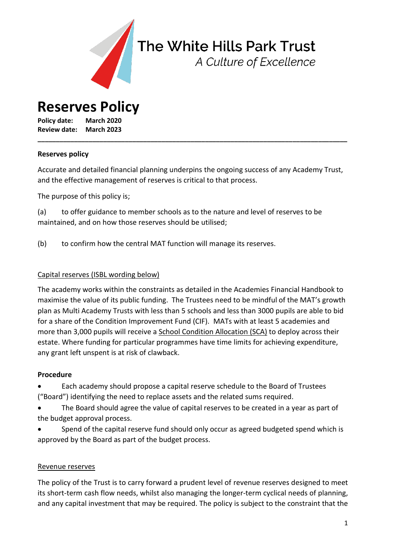

# The White Hills Park Trust

A Culture of Excellence

**Reserves Policy**

**Policy date: March 2020 Review date: March 2023**

#### **Reserves policy**

Accurate and detailed financial planning underpins the ongoing success of any Academy Trust, and the effective management of reserves is critical to that process.

**\_\_\_\_\_\_\_\_\_\_\_\_\_\_\_\_\_\_\_\_\_\_\_\_\_\_\_\_\_\_\_\_\_\_\_\_\_\_\_\_\_\_\_\_\_\_\_\_\_\_\_\_\_\_\_\_\_\_\_\_\_\_\_\_\_\_\_\_\_\_\_\_\_\_\_\_\_\_\_\_\_\_\_\_\_**

The purpose of this policy is;

(a) to offer guidance to member schools as to the nature and level of reserves to be maintained, and on how those reserves should be utilised;

(b) to confirm how the central MAT function will manage its reserves.

## Capital reserves (ISBL wording below)

The academy works within the constraints as detailed in the Academies Financial Handbook to maximise the value of its public funding. The Trustees need to be mindful of the MAT's growth plan as Multi Academy Trusts with less than 5 schools and less than 3000 pupils are able to bid for a share of the Condition Improvement Fund (CIF). MATs with at least 5 academies and more than 3,000 pupils will receive a School Condition [Allocation](https://www.gov.uk/government/publications/capital-allocations) (SCA) to deploy across their estate. Where funding for particular programmes have time limits for achieving expenditure, any grant left unspent is at risk of clawback.

#### **Procedure**

 Each academy should propose a capital reserve schedule to the Board of Trustees ("Board") identifying the need to replace assets and the related sums required.

 The Board should agree the value of capital reserves to be created in a year as part of the budget approval process.

 Spend of the capital reserve fund should only occur as agreed budgeted spend which is approved by the Board as part of the budget process.

#### Revenue reserves

The policy of the Trust is to carry forward a prudent level of revenue reserves designed to meet its short-term cash flow needs, whilst also managing the longer-term cyclical needs of planning, and any capital investment that may be required. The policy is subject to the constraint that the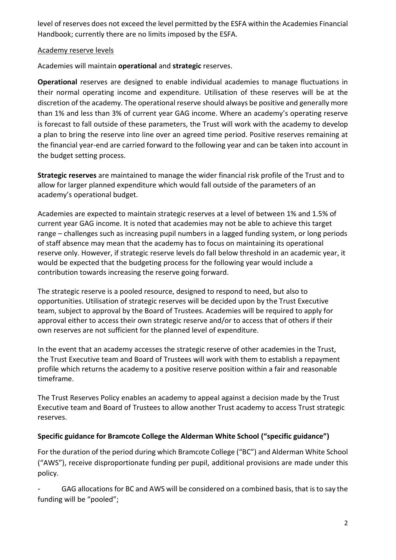level of reserves does not exceed the level permitted by the ESFA within the Academies Financial Handbook; currently there are no limits imposed by the ESFA.

## Academy reserve levels

Academies will maintain **operational** and **strategic** reserves.

**Operational** reserves are designed to enable individual academies to manage fluctuations in their normal operating income and expenditure. Utilisation of these reserves will be at the discretion of the academy. The operational reserve should always be positive and generally more than 1% and less than 3% of current year GAG income. Where an academy's operating reserve is forecast to fall outside of these parameters, the Trust will work with the academy to develop a plan to bring the reserve into line over an agreed time period. Positive reserves remaining at the financial year-end are carried forward to the following year and can be taken into account in the budget setting process.

**Strategic reserves** are maintained to manage the wider financial risk profile of the Trust and to allow for larger planned expenditure which would fall outside of the parameters of an academy's operational budget.

Academies are expected to maintain strategic reserves at a level of between 1% and 1.5% of current year GAG income. It is noted that academies may not be able to achieve this target range – challenges such as increasing pupil numbers in a lagged funding system, or long periods of staff absence may mean that the academy has to focus on maintaining its operational reserve only. However, if strategic reserve levels do fall below threshold in an academic year, it would be expected that the budgeting process for the following year would include a contribution towards increasing the reserve going forward.

The strategic reserve is a pooled resource, designed to respond to need, but also to opportunities. Utilisation of strategic reserves will be decided upon by the Trust Executive team, subject to approval by the Board of Trustees. Academies will be required to apply for approval either to access their own strategic reserve and/or to access that of others if their own reserves are not sufficient for the planned level of expenditure.

In the event that an academy accesses the strategic reserve of other academies in the Trust, the Trust Executive team and Board of Trustees will work with them to establish a repayment profile which returns the academy to a positive reserve position within a fair and reasonable timeframe.

The Trust Reserves Policy enables an academy to appeal against a decision made by the Trust Executive team and Board of Trustees to allow another Trust academy to access Trust strategic reserves.

# **Specific guidance for Bramcote College the Alderman White School ("specific guidance")**

For the duration of the period during which Bramcote College ("BC") and Alderman White School ("AWS"), receive disproportionate funding per pupil, additional provisions are made under this policy.

GAG allocations for BC and AWS will be considered on a combined basis, that is to say the funding will be "pooled";